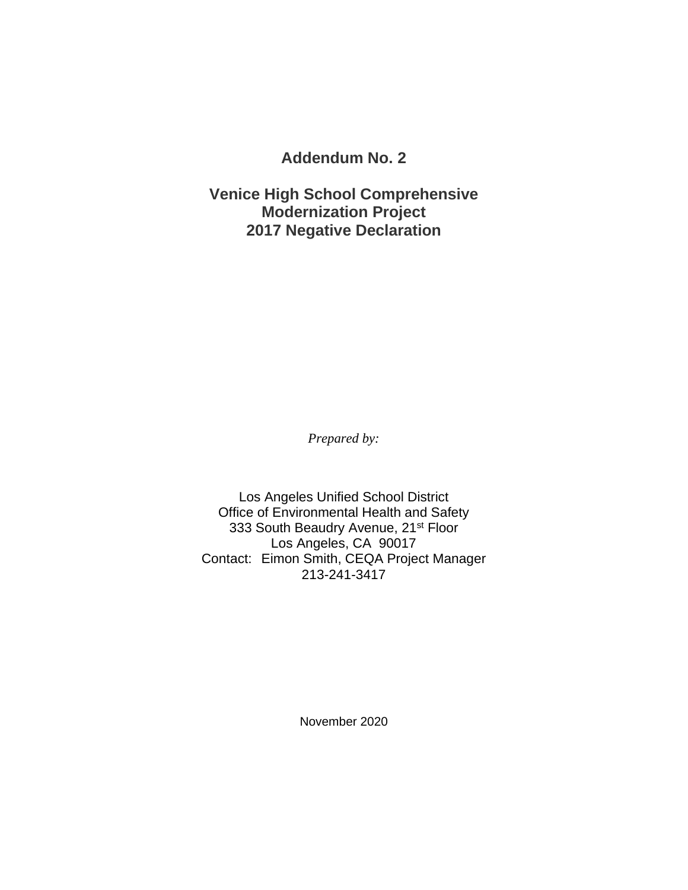**Addendum No. 2**

**Venice High School Comprehensive Modernization Project 2017 Negative Declaration**

*Prepared by:*

Los Angeles Unified School District Office of Environmental Health and Safety 333 South Beaudry Avenue, 21<sup>st</sup> Floor Los Angeles, CA 90017 Contact: Eimon Smith, CEQA Project Manager 213-241-3417

November 2020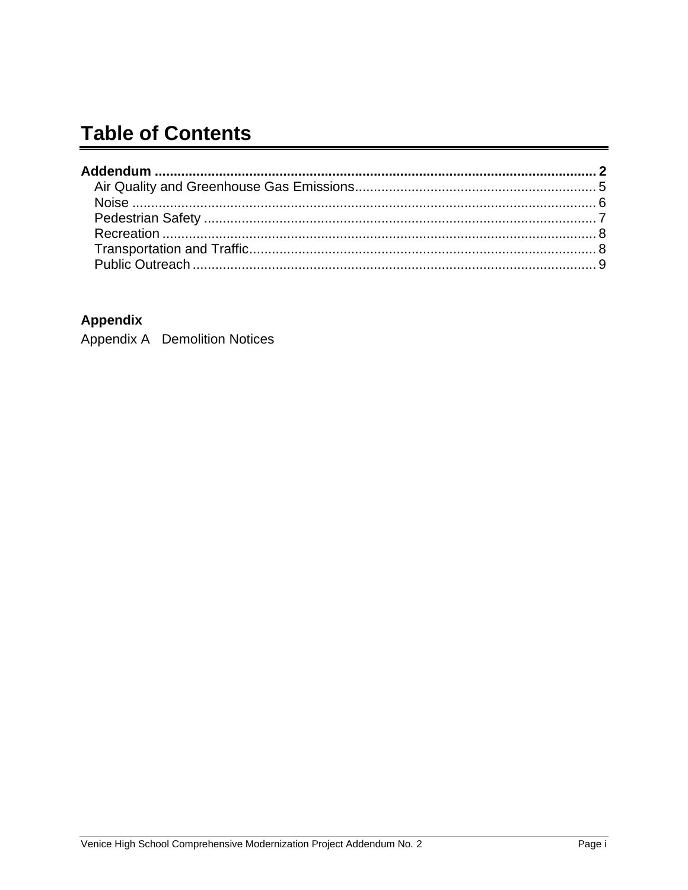## **Table of Contents**

#### **Appendix**

Appendix A Demolition Notices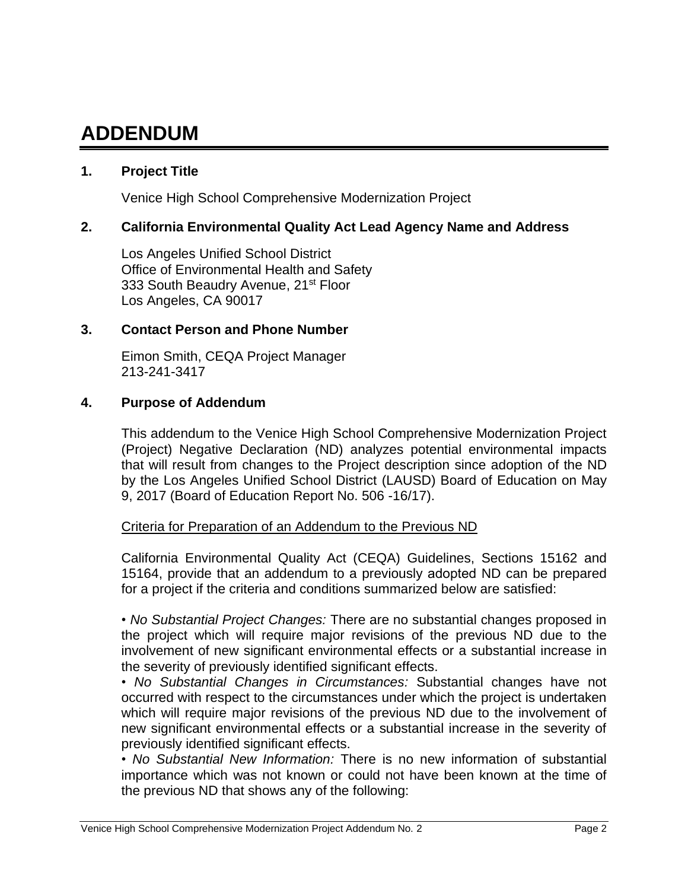# **ADDENDUM**

#### **1. Project Title**

Venice High School Comprehensive Modernization Project

#### **2. California Environmental Quality Act Lead Agency Name and Address**

Los Angeles Unified School District Office of Environmental Health and Safety 333 South Beaudry Avenue, 21<sup>st</sup> Floor Los Angeles, CA 90017

#### **3. Contact Person and Phone Number**

Eimon Smith, CEQA Project Manager 213-241-3417

#### **4. Purpose of Addendum**

This addendum to the Venice High School Comprehensive Modernization Project (Project) Negative Declaration (ND) analyzes potential environmental impacts that will result from changes to the Project description since adoption of the ND by the Los Angeles Unified School District (LAUSD) Board of Education on May 9, 2017 (Board of Education Report No. 506 -16/17).

#### Criteria for Preparation of an Addendum to the Previous ND

California Environmental Quality Act (CEQA) Guidelines, Sections 15162 and 15164, provide that an addendum to a previously adopted ND can be prepared for a project if the criteria and conditions summarized below are satisfied:

• *No Substantial Project Changes:* There are no substantial changes proposed in the project which will require major revisions of the previous ND due to the involvement of new significant environmental effects or a substantial increase in the severity of previously identified significant effects.

• *No Substantial Changes in Circumstances:* Substantial changes have not occurred with respect to the circumstances under which the project is undertaken which will require major revisions of the previous ND due to the involvement of new significant environmental effects or a substantial increase in the severity of previously identified significant effects.

• *No Substantial New Information:* There is no new information of substantial importance which was not known or could not have been known at the time of the previous ND that shows any of the following: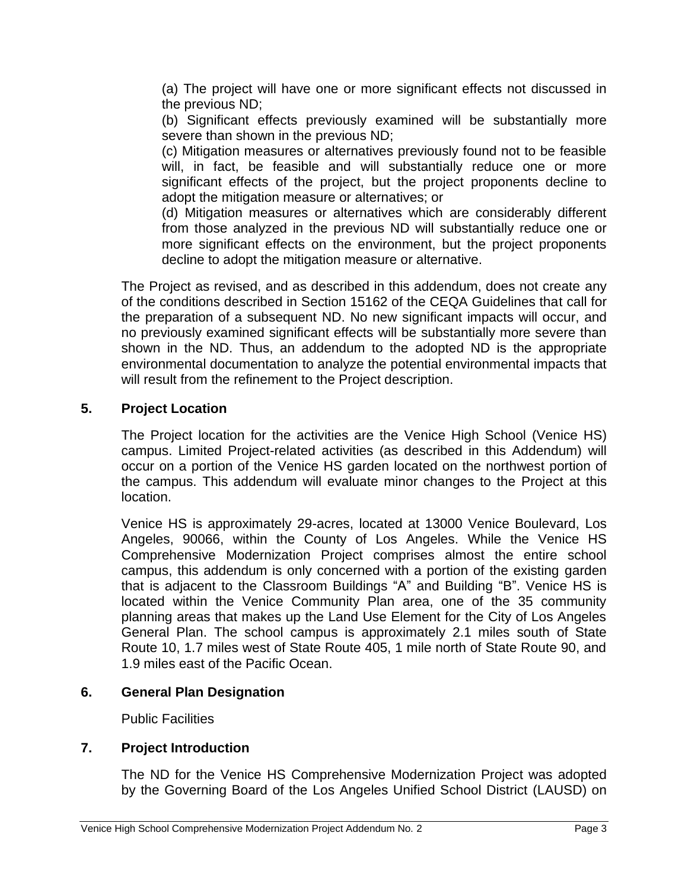(a) The project will have one or more significant effects not discussed in the previous ND;

(b) Significant effects previously examined will be substantially more severe than shown in the previous ND;

(c) Mitigation measures or alternatives previously found not to be feasible will, in fact, be feasible and will substantially reduce one or more significant effects of the project, but the project proponents decline to adopt the mitigation measure or alternatives; or

(d) Mitigation measures or alternatives which are considerably different from those analyzed in the previous ND will substantially reduce one or more significant effects on the environment, but the project proponents decline to adopt the mitigation measure or alternative.

The Project as revised, and as described in this addendum, does not create any of the conditions described in Section 15162 of the CEQA Guidelines that call for the preparation of a subsequent ND. No new significant impacts will occur, and no previously examined significant effects will be substantially more severe than shown in the ND. Thus, an addendum to the adopted ND is the appropriate environmental documentation to analyze the potential environmental impacts that will result from the refinement to the Project description.

#### **5. Project Location**

The Project location for the activities are the Venice High School (Venice HS) campus. Limited Project-related activities (as described in this Addendum) will occur on a portion of the Venice HS garden located on the northwest portion of the campus. This addendum will evaluate minor changes to the Project at this location.

Venice HS is approximately 29-acres, located at 13000 Venice Boulevard, Los Angeles, 90066, within the County of Los Angeles. While the Venice HS Comprehensive Modernization Project comprises almost the entire school campus, this addendum is only concerned with a portion of the existing garden that is adjacent to the Classroom Buildings "A" and Building "B". Venice HS is located within the Venice Community Plan area, one of the 35 community planning areas that makes up the Land Use Element for the City of Los Angeles General Plan. The school campus is approximately 2.1 miles south of State Route 10, 1.7 miles west of State Route 405, 1 mile north of State Route 90, and 1.9 miles east of the Pacific Ocean.

#### **6. General Plan Designation**

Public Facilities

#### **7. Project Introduction**

The ND for the Venice HS Comprehensive Modernization Project was adopted by the Governing Board of the Los Angeles Unified School District (LAUSD) on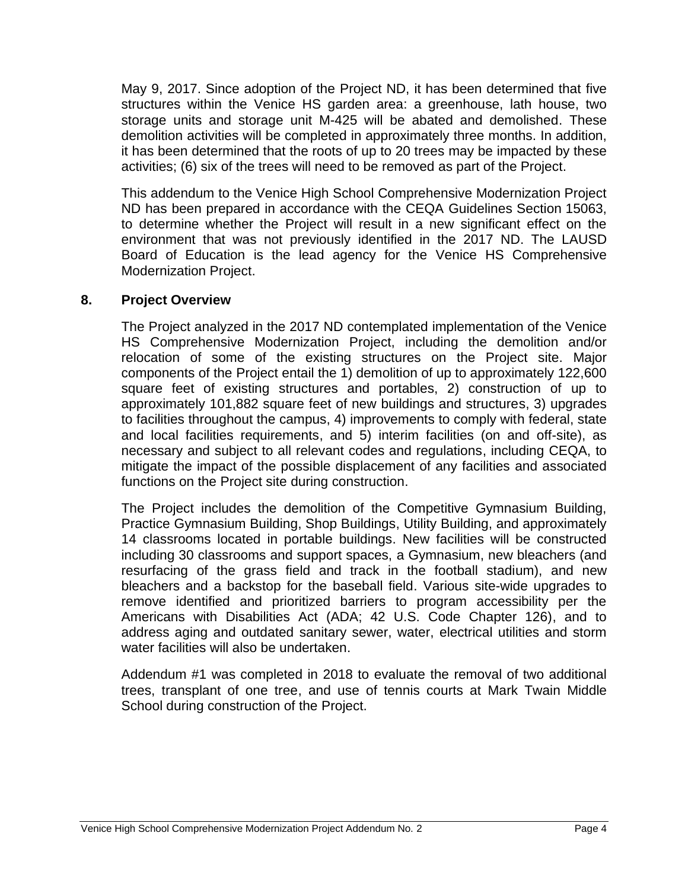May 9, 2017. Since adoption of the Project ND, it has been determined that five structures within the Venice HS garden area: a greenhouse, lath house, two storage units and storage unit M-425 will be abated and demolished. These demolition activities will be completed in approximately three months. In addition, it has been determined that the roots of up to 20 trees may be impacted by these activities; (6) six of the trees will need to be removed as part of the Project.

This addendum to the Venice High School Comprehensive Modernization Project ND has been prepared in accordance with the CEQA Guidelines Section 15063, to determine whether the Project will result in a new significant effect on the environment that was not previously identified in the 2017 ND. The LAUSD Board of Education is the lead agency for the Venice HS Comprehensive Modernization Project.

#### **8. Project Overview**

The Project analyzed in the 2017 ND contemplated implementation of the Venice HS Comprehensive Modernization Project, including the demolition and/or relocation of some of the existing structures on the Project site. Major components of the Project entail the 1) demolition of up to approximately 122,600 square feet of existing structures and portables, 2) construction of up to approximately 101,882 square feet of new buildings and structures, 3) upgrades to facilities throughout the campus, 4) improvements to comply with federal, state and local facilities requirements, and 5) interim facilities (on and off-site), as necessary and subject to all relevant codes and regulations, including CEQA, to mitigate the impact of the possible displacement of any facilities and associated functions on the Project site during construction.

The Project includes the demolition of the Competitive Gymnasium Building, Practice Gymnasium Building, Shop Buildings, Utility Building, and approximately 14 classrooms located in portable buildings. New facilities will be constructed including 30 classrooms and support spaces, a Gymnasium, new bleachers (and resurfacing of the grass field and track in the football stadium), and new bleachers and a backstop for the baseball field. Various site-wide upgrades to remove identified and prioritized barriers to program accessibility per the Americans with Disabilities Act (ADA; 42 U.S. Code Chapter 126), and to address aging and outdated sanitary sewer, water, electrical utilities and storm water facilities will also be undertaken.

Addendum #1 was completed in 2018 to evaluate the removal of two additional trees, transplant of one tree, and use of tennis courts at Mark Twain Middle School during construction of the Project.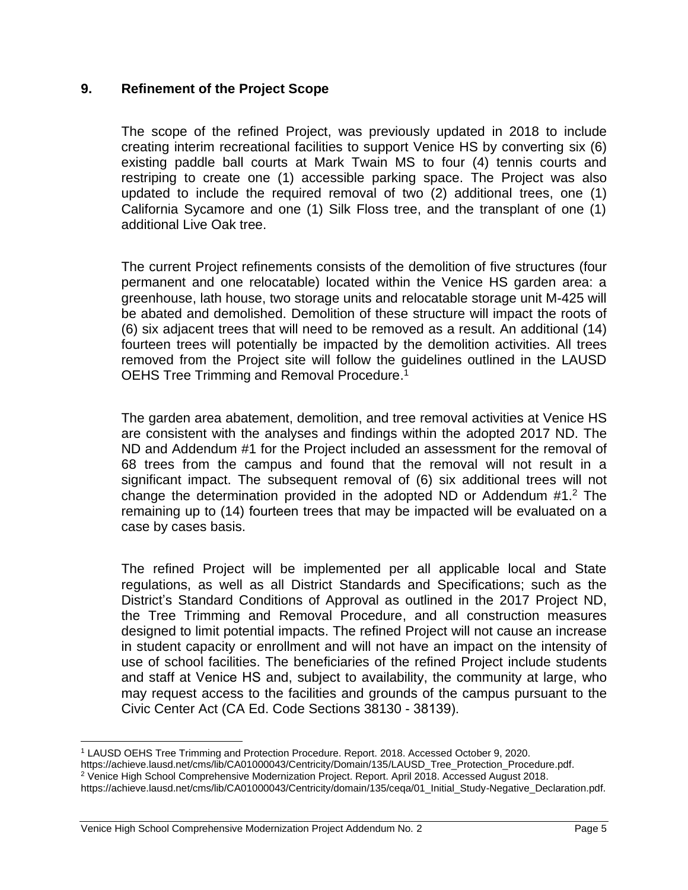#### **9. Refinement of the Project Scope**

The scope of the refined Project, was previously updated in 2018 to include creating interim recreational facilities to support Venice HS by converting six (6) existing paddle ball courts at Mark Twain MS to four (4) tennis courts and restriping to create one (1) accessible parking space. The Project was also updated to include the required removal of two (2) additional trees, one (1) California Sycamore and one (1) Silk Floss tree, and the transplant of one (1) additional Live Oak tree.

The current Project refinements consists of the demolition of five structures (four permanent and one relocatable) located within the Venice HS garden area: a greenhouse, lath house, two storage units and relocatable storage unit M-425 will be abated and demolished. Demolition of these structure will impact the roots of (6) six adjacent trees that will need to be removed as a result. An additional (14) fourteen trees will potentially be impacted by the demolition activities. All trees removed from the Project site will follow the guidelines outlined in the LAUSD OEHS Tree Trimming and Removal Procedure.<sup>1</sup>

The garden area abatement, demolition, and tree removal activities at Venice HS are consistent with the analyses and findings within the adopted 2017 ND. The ND and Addendum #1 for the Project included an assessment for the removal of 68 trees from the campus and found that the removal will not result in a significant impact. The subsequent removal of (6) six additional trees will not change the determination provided in the adopted ND or Addendum  $#1.^2$  The remaining up to (14) fourteen trees that may be impacted will be evaluated on a case by cases basis.

The refined Project will be implemented per all applicable local and State regulations, as well as all District Standards and Specifications; such as the District's Standard Conditions of Approval as outlined in the 2017 Project ND, the Tree Trimming and Removal Procedure, and all construction measures designed to limit potential impacts. The refined Project will not cause an increase in student capacity or enrollment and will not have an impact on the intensity of use of school facilities. The beneficiaries of the refined Project include students and staff at Venice HS and, subject to availability, the community at large, who may request access to the facilities and grounds of the campus pursuant to the Civic Center Act (CA Ed. Code Sections 38130 - 38139).

<sup>1</sup> LAUSD OEHS Tree Trimming and Protection Procedure. Report. 2018. Accessed October 9, 2020.

https://achieve.lausd.net/cms/lib/CA01000043/Centricity/Domain/135/LAUSD\_Tree\_Protection\_Procedure.pdf.

<sup>2</sup> Venice High School Comprehensive Modernization Project. Report. April 2018. Accessed August 2018.

https://achieve.lausd.net/cms/lib/CA01000043/Centricity/domain/135/ceqa/01\_Initial\_Study-Negative\_Declaration.pdf.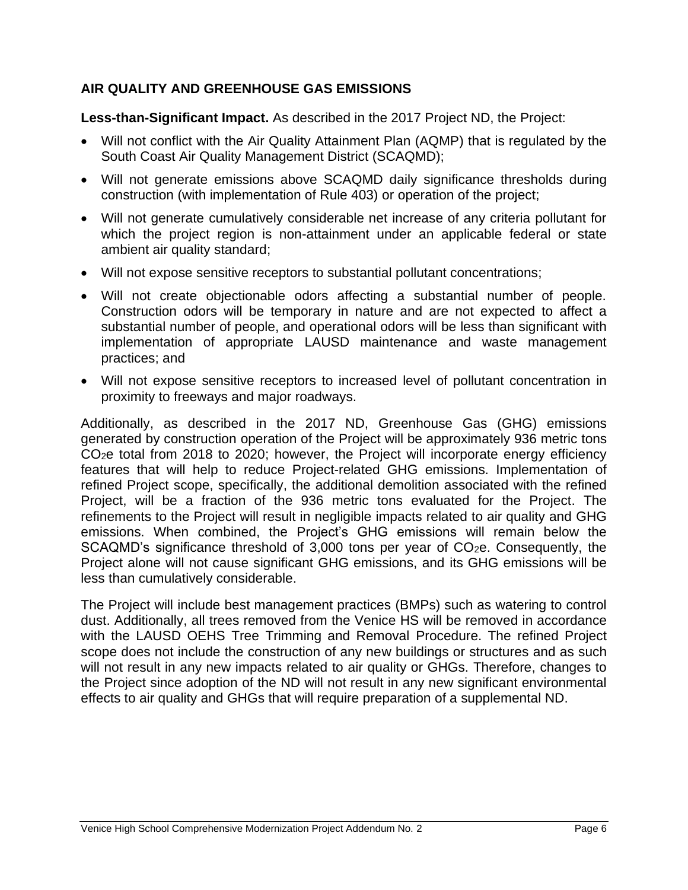#### **AIR QUALITY AND GREENHOUSE GAS EMISSIONS**

Less-than-Significant Impact. As described in the 2017 Project ND, the Project:

- Will not conflict with the Air Quality Attainment Plan (AQMP) that is regulated by the South Coast Air Quality Management District (SCAQMD);
- Will not generate emissions above SCAQMD daily significance thresholds during construction (with implementation of Rule 403) or operation of the project;
- Will not generate cumulatively considerable net increase of any criteria pollutant for which the project region is non-attainment under an applicable federal or state ambient air quality standard;
- Will not expose sensitive receptors to substantial pollutant concentrations;
- Will not create objectionable odors affecting a substantial number of people. Construction odors will be temporary in nature and are not expected to affect a substantial number of people, and operational odors will be less than significant with implementation of appropriate LAUSD maintenance and waste management practices; and
- Will not expose sensitive receptors to increased level of pollutant concentration in proximity to freeways and major roadways.

Additionally, as described in the 2017 ND, Greenhouse Gas (GHG) emissions generated by construction operation of the Project will be approximately 936 metric tons CO2e total from 2018 to 2020; however, the Project will incorporate energy efficiency features that will help to reduce Project-related GHG emissions. Implementation of refined Project scope, specifically, the additional demolition associated with the refined Project, will be a fraction of the 936 metric tons evaluated for the Project. The refinements to the Project will result in negligible impacts related to air quality and GHG emissions. When combined, the Project's GHG emissions will remain below the SCAQMD's significance threshold of 3,000 tons per year of CO<sub>2</sub>e. Consequently, the Project alone will not cause significant GHG emissions, and its GHG emissions will be less than cumulatively considerable.

The Project will include best management practices (BMPs) such as watering to control dust. Additionally, all trees removed from the Venice HS will be removed in accordance with the LAUSD OEHS Tree Trimming and Removal Procedure. The refined Project scope does not include the construction of any new buildings or structures and as such will not result in any new impacts related to air quality or GHGs. Therefore, changes to the Project since adoption of the ND will not result in any new significant environmental effects to air quality and GHGs that will require preparation of a supplemental ND.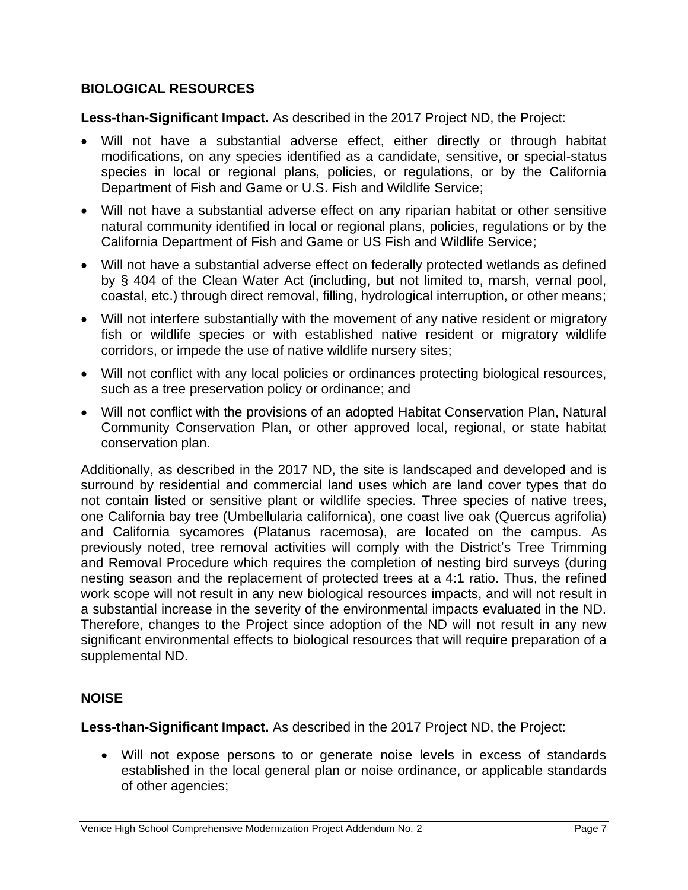#### **BIOLOGICAL RESOURCES**

**Less-than-Significant Impact.** As described in the 2017 Project ND, the Project:

- Will not have a substantial adverse effect, either directly or through habitat modifications, on any species identified as a candidate, sensitive, or special-status species in local or regional plans, policies, or regulations, or by the California Department of Fish and Game or U.S. Fish and Wildlife Service;
- Will not have a substantial adverse effect on any riparian habitat or other sensitive natural community identified in local or regional plans, policies, regulations or by the California Department of Fish and Game or US Fish and Wildlife Service;
- Will not have a substantial adverse effect on federally protected wetlands as defined by § 404 of the Clean Water Act (including, but not limited to, marsh, vernal pool, coastal, etc.) through direct removal, filling, hydrological interruption, or other means;
- Will not interfere substantially with the movement of any native resident or migratory fish or wildlife species or with established native resident or migratory wildlife corridors, or impede the use of native wildlife nursery sites;
- Will not conflict with any local policies or ordinances protecting biological resources, such as a tree preservation policy or ordinance; and
- Will not conflict with the provisions of an adopted Habitat Conservation Plan, Natural Community Conservation Plan, or other approved local, regional, or state habitat conservation plan.

Additionally, as described in the 2017 ND, the site is landscaped and developed and is surround by residential and commercial land uses which are land cover types that do not contain listed or sensitive plant or wildlife species. Three species of native trees, one California bay tree (Umbellularia californica), one coast live oak (Quercus agrifolia) and California sycamores (Platanus racemosa), are located on the campus. As previously noted, tree removal activities will comply with the District's Tree Trimming and Removal Procedure which requires the completion of nesting bird surveys (during nesting season and the replacement of protected trees at a 4:1 ratio. Thus, the refined work scope will not result in any new biological resources impacts, and will not result in a substantial increase in the severity of the environmental impacts evaluated in the ND. Therefore, changes to the Project since adoption of the ND will not result in any new significant environmental effects to biological resources that will require preparation of a supplemental ND.

#### **NOISE**

**Less-than-Significant Impact.** As described in the 2017 Project ND, the Project:

• Will not expose persons to or generate noise levels in excess of standards established in the local general plan or noise ordinance, or applicable standards of other agencies;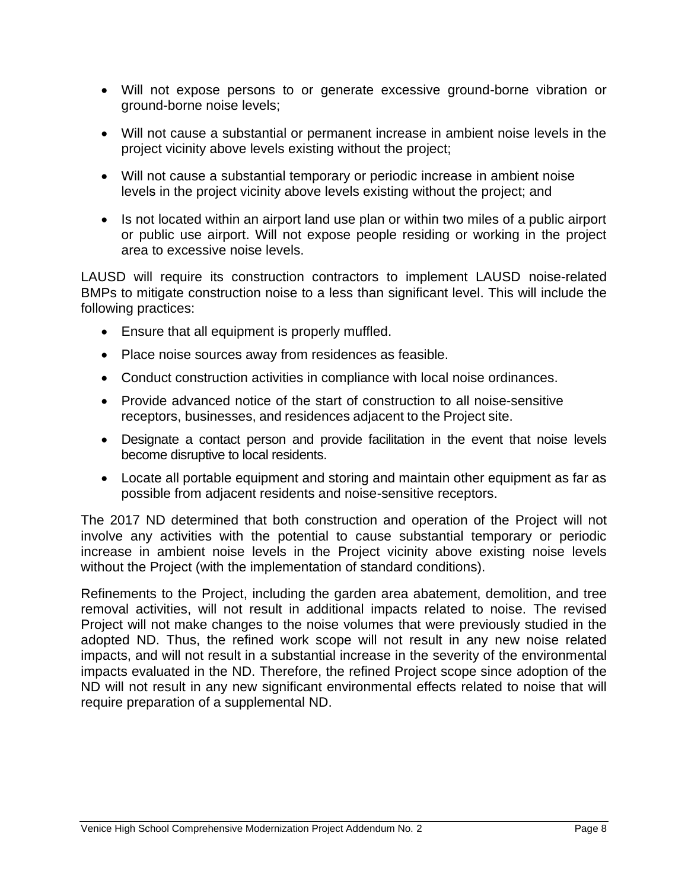- Will not expose persons to or generate excessive ground-borne vibration or ground-borne noise levels;
- Will not cause a substantial or permanent increase in ambient noise levels in the project vicinity above levels existing without the project;
- Will not cause a substantial temporary or periodic increase in ambient noise levels in the project vicinity above levels existing without the project; and
- Is not located within an airport land use plan or within two miles of a public airport or public use airport. Will not expose people residing or working in the project area to excessive noise levels.

LAUSD will require its construction contractors to implement LAUSD noise-related BMPs to mitigate construction noise to a less than significant level. This will include the following practices:

- Ensure that all equipment is properly muffled.
- Place noise sources away from residences as feasible.
- Conduct construction activities in compliance with local noise ordinances.
- Provide advanced notice of the start of construction to all noise-sensitive receptors, businesses, and residences adjacent to the Project site.
- Designate a contact person and provide facilitation in the event that noise levels become disruptive to local residents.
- Locate all portable equipment and storing and maintain other equipment as far as possible from adjacent residents and noise-sensitive receptors.

The 2017 ND determined that both construction and operation of the Project will not involve any activities with the potential to cause substantial temporary or periodic increase in ambient noise levels in the Project vicinity above existing noise levels without the Project (with the implementation of standard conditions).

Refinements to the Project, including the garden area abatement, demolition, and tree removal activities, will not result in additional impacts related to noise. The revised Project will not make changes to the noise volumes that were previously studied in the adopted ND. Thus, the refined work scope will not result in any new noise related impacts, and will not result in a substantial increase in the severity of the environmental impacts evaluated in the ND. Therefore, the refined Project scope since adoption of the ND will not result in any new significant environmental effects related to noise that will require preparation of a supplemental ND.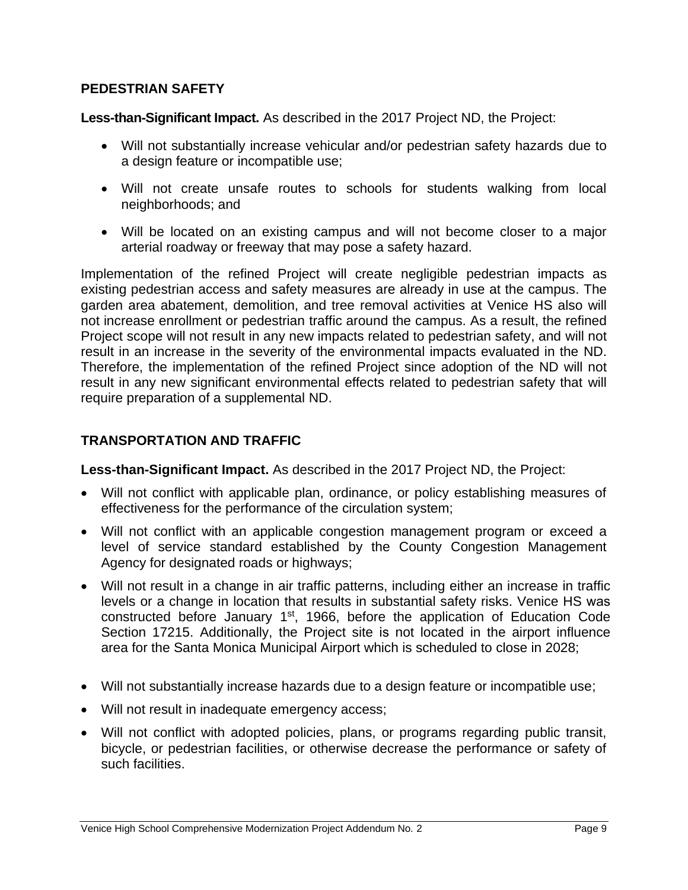#### **PEDESTRIAN SAFETY**

Less-than-Significant Impact. As described in the 2017 Project ND, the Project:

- Will not substantially increase vehicular and/or pedestrian safety hazards due to a design feature or incompatible use;
- Will not create unsafe routes to schools for students walking from local neighborhoods; and
- Will be located on an existing campus and will not become closer to a major arterial roadway or freeway that may pose a safety hazard.

Implementation of the refined Project will create negligible pedestrian impacts as existing pedestrian access and safety measures are already in use at the campus. The garden area abatement, demolition, and tree removal activities at Venice HS also will not increase enrollment or pedestrian traffic around the campus. As a result, the refined Project scope will not result in any new impacts related to pedestrian safety, and will not result in an increase in the severity of the environmental impacts evaluated in the ND. Therefore, the implementation of the refined Project since adoption of the ND will not result in any new significant environmental effects related to pedestrian safety that will require preparation of a supplemental ND.

#### **TRANSPORTATION AND TRAFFIC**

**Less-than-Significant Impact.** As described in the 2017 Project ND, the Project:

- Will not conflict with applicable plan, ordinance, or policy establishing measures of effectiveness for the performance of the circulation system;
- Will not conflict with an applicable congestion management program or exceed a level of service standard established by the County Congestion Management Agency for designated roads or highways;
- Will not result in a change in air traffic patterns, including either an increase in traffic levels or a change in location that results in substantial safety risks. Venice HS was constructed before January 1<sup>st</sup>, 1966, before the application of Education Code Section 17215. Additionally, the Project site is not located in the airport influence area for the Santa Monica Municipal Airport which is scheduled to close in 2028;
- Will not substantially increase hazards due to a design feature or incompatible use;
- Will not result in inadequate emergency access;
- Will not conflict with adopted policies, plans, or programs regarding public transit, bicycle, or pedestrian facilities, or otherwise decrease the performance or safety of such facilities.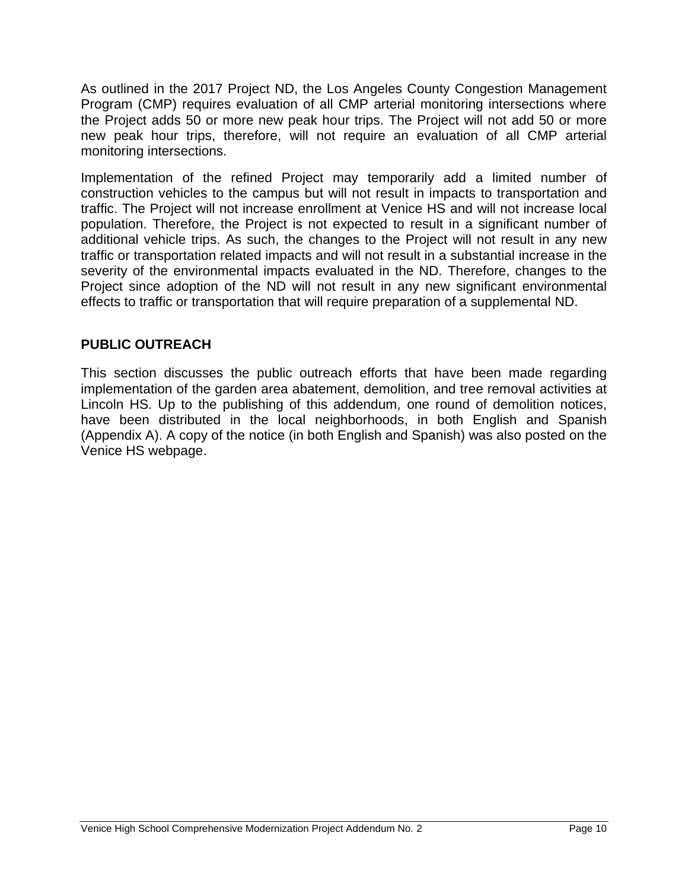As outlined in the 2017 Project ND, the Los Angeles County Congestion Management Program (CMP) requires evaluation of all CMP arterial monitoring intersections where the Project adds 50 or more new peak hour trips. The Project will not add 50 or more new peak hour trips, therefore, will not require an evaluation of all CMP arterial monitoring intersections.

Implementation of the refined Project may temporarily add a limited number of construction vehicles to the campus but will not result in impacts to transportation and traffic. The Project will not increase enrollment at Venice HS and will not increase local population. Therefore, the Project is not expected to result in a significant number of additional vehicle trips. As such, the changes to the Project will not result in any new traffic or transportation related impacts and will not result in a substantial increase in the severity of the environmental impacts evaluated in the ND. Therefore, changes to the Project since adoption of the ND will not result in any new significant environmental effects to traffic or transportation that will require preparation of a supplemental ND.

#### **PUBLIC OUTREACH**

This section discusses the public outreach efforts that have been made regarding implementation of the garden area abatement, demolition, and tree removal activities at Lincoln HS. Up to the publishing of this addendum, one round of demolition notices, have been distributed in the local neighborhoods, in both English and Spanish (Appendix A). A copy of the notice (in both English and Spanish) was also posted on the Venice HS webpage.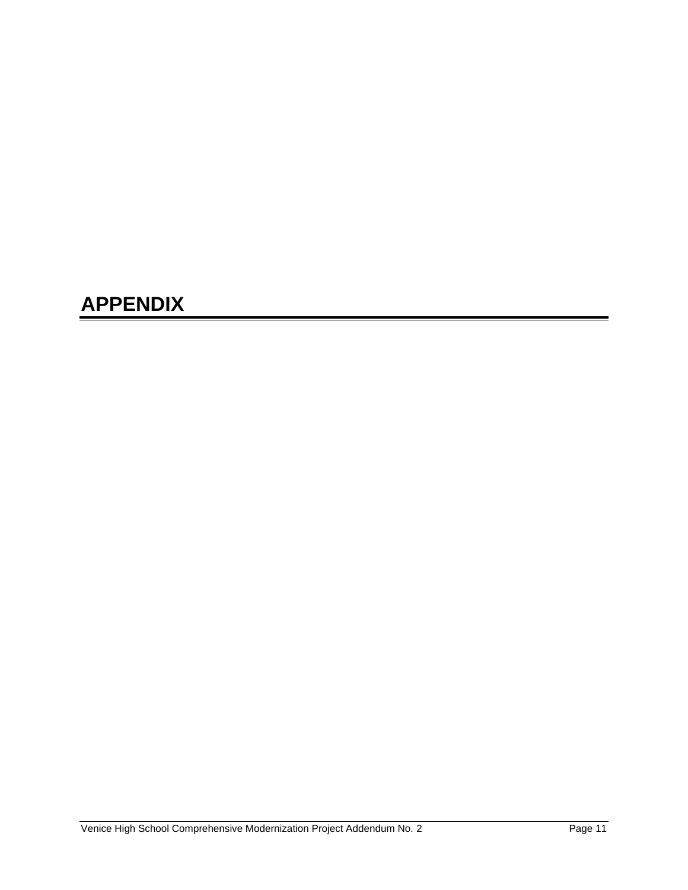## **APPENDIX**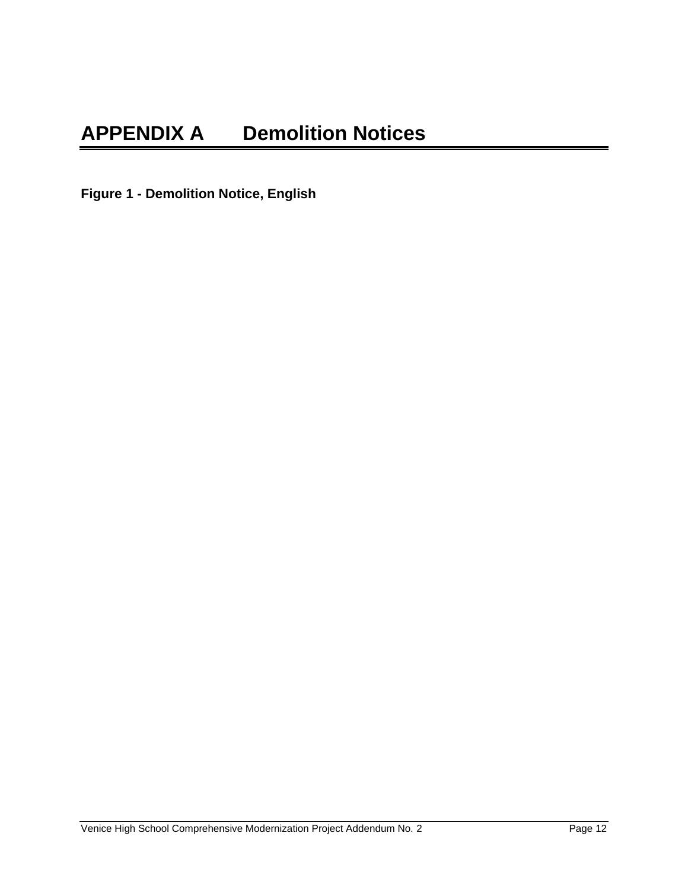**Figure 1 - Demolition Notice, English**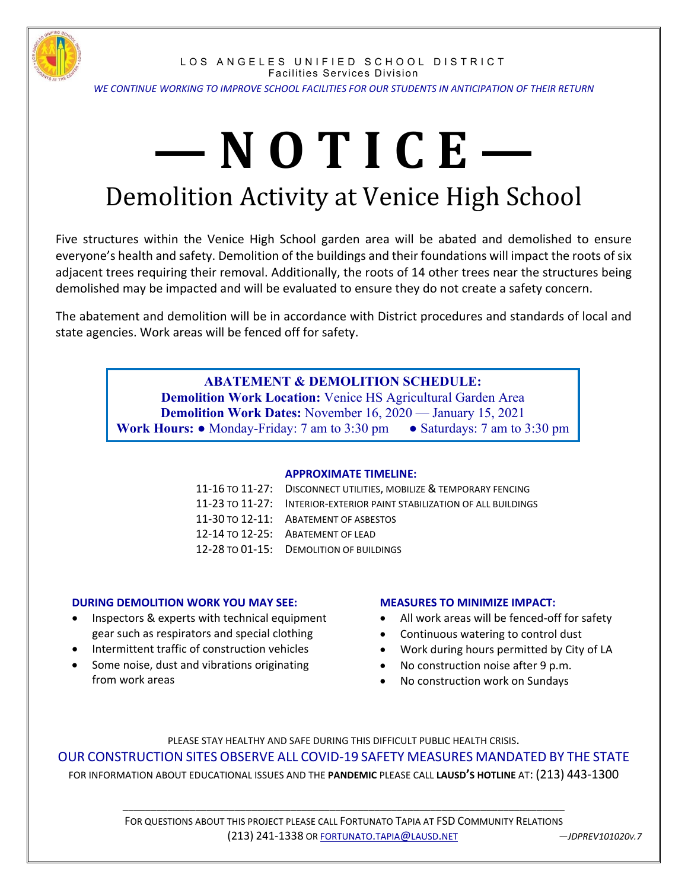

LOS ANGELES UNIFIED SCHOOL DISTRICT Facilities Services Division *WE CONTINUE WORKING TO IMPROVE SCHOOL FACILITIES FOR OUR STUDENTS IN ANTICIPATION OF THEIR RETURN*

# **— N O T I C E —** Demolition Activity at Venice High School

Five structures within the Venice High School garden area will be abated and demolished to ensure everyone's health and safety. Demolition of the buildings and their foundations will impact the roots of six adjacent trees requiring their removal. Additionally, the roots of 14 other trees near the structures being demolished may be impacted and will be evaluated to ensure they do not create a safety concern.

The abatement and demolition will be in accordance with District procedures and standards of local and state agencies. Work areas will be fenced off for safety.

#### **ABATEMENT & DEMOLITION SCHEDULE:**

**Demolition Work Location:** Venice HS Agricultural Garden Area **Demolition Work Dates:** November 16, 2020 — January 15, 2021 **Work Hours: ●** Monday-Friday: 7 am to 3:30 pm ● Saturdays: 7 am to 3:30 pm

#### **APPROXIMATE TIMELINE:**

| 11-16 TO 11-27: DISCONNECT UTILITIES, MOBILIZE & TEMPORARY FENCING     |
|------------------------------------------------------------------------|
| 11-23 TO 11-27: INTERIOR-EXTERIOR PAINT STABILIZATION OF ALL BUILDINGS |
| 11-30 TO 12-11: ABATEMENT OF ASBESTOS                                  |
| 12-14 TO 12-25: ABATEMENT OF LEAD                                      |
| 12-28 TO 01-15: DEMOLITION OF BUILDINGS                                |

#### **DURING DEMOLITION WORK YOU MAY SEE:**

- Inspectors & experts with technical equipment gear such as respirators and special clothing
- Intermittent traffic of construction vehicles
- Some noise, dust and vibrations originating from work areas

#### **MEASURES TO MINIMIZE IMPACT:**

- All work areas will be fenced‐off for safety
- Continuous watering to control dust
- Work during hours permitted by City of LA
- No construction noise after 9 p.m.
- No construction work on Sundays

PLEASE STAY HEALTHY AND SAFE DURING THIS DIFFICULT PUBLIC HEALTH CRISIS. OUR CONSTRUCTION SITES OBSERVE ALL COVID‐19 SAFETY MEASURES MANDATED BY THE STATE FOR INFORMATION ABOUT EDUCATIONAL ISSUES AND THE **PANDEMIC** PLEASE CALL **LAUSD'S HOTLINE** AT: (213) 443‐1300

> FOR QUESTIONS ABOUT THIS PROJECT PLEASE CALL FORTUNATO TAPIA AT FSD COMMUNITY RELATIONS (213) 241‐1338 OR FORTUNATO.TAPIA@LAUSD.NET *—JDPREV101020V.7*

\_\_\_\_\_\_\_\_\_\_\_\_\_\_\_\_\_\_\_\_\_\_\_\_\_\_\_\_\_\_\_\_\_\_\_\_\_\_\_\_\_\_\_\_\_\_\_\_\_\_\_\_\_\_\_\_\_\_\_\_\_\_\_\_\_\_\_\_\_\_\_\_\_\_\_\_\_\_\_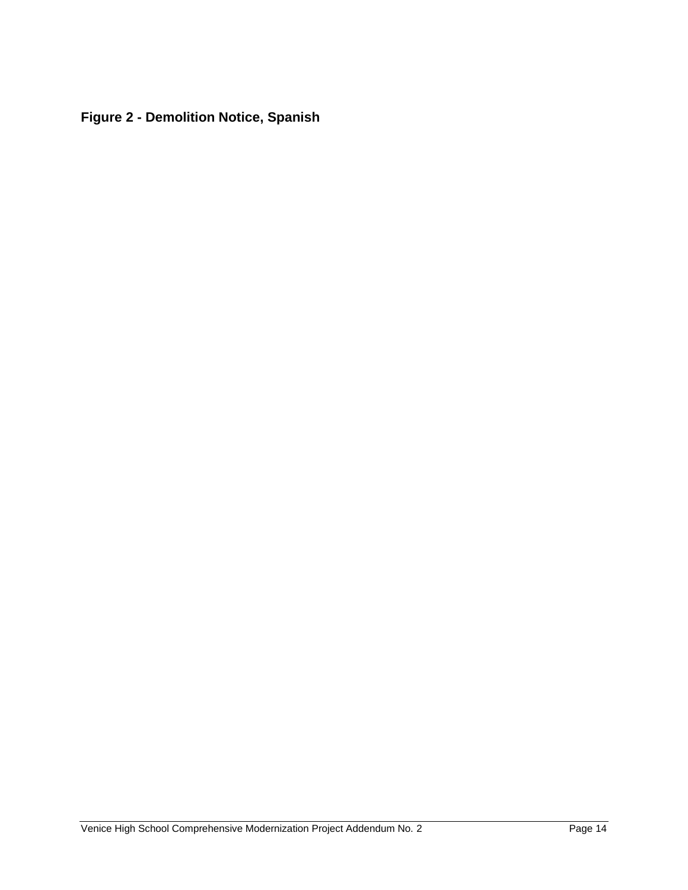**Figure 2 - Demolition Notice, Spanish**